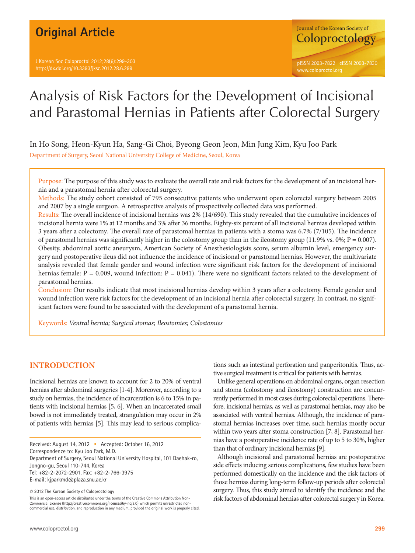# **Original Article**



# Analysis of Risk Factors for the Development of Incisional and Parastomal Hernias in Patients after Colorectal Surgery

In Ho Song, Heon-Kyun Ha, Sang-Gi Choi, Byeong Geon Jeon, Min Jung Kim, Kyu Joo Park

Department of Surgery, Seoul National University College of Medicine, Seoul, Korea

Purpose: The purpose of this study was to evaluate the overall rate and risk factors for the development of an incisional hernia and a parastomal hernia after colorectal surgery.

Methods: The study cohort consisted of 795 consecutive patients who underwent open colorectal surgery between 2005 and 2007 by a single surgeon. A retrospective analysis of prospectively collected data was performed.

Results: The overall incidence of incisional hernias was 2% (14/690). This study revealed that the cumulative incidences of incisional hernia were 1% at 12 months and 3% after 36 months. Eighty-six percent of all incisional hernias developed within 3 years after a colectomy. The overall rate of parastomal hernias in patients with a stoma was 6.7% (7/105). The incidence of parastomal hernias was significantly higher in the colostomy group than in the ileostomy group (11.9% vs. 0%;  $P = 0.007$ ). Obesity, abdominal aortic aneurysm, American Society of Anesthesiologists score, serum albumin level, emergency surgery and postoperative ileus did not influence the incidence of incisional or parastomal hernias. However, the multivariate analysis revealed that female gender and wound infection were significant risk factors for the development of incisional hernias female:  $P = 0.009$ , wound infection:  $P = 0.041$ ). There were no significant factors related to the development of parastomal hernias.

Conclusion: Our results indicate that most incisional hernias develop within 3 years after a colectomy. Female gender and wound infection were risk factors for the development of an incisional hernia after colorectal surgery. In contrast, no significant factors were found to be associated with the development of a parastomal hernia.

Keywords: *Ventral hernia; Surgical stomas; Ileostomies; Colostomies*

## **INTRODUCTION**

Incisional hernias are known to account for 2 to 20% of ventral hernias after abdominal surgeries [1-4]. Moreover, according to a study on hernias, the incidence of incarceration is 6 to 15% in patients with incisional hernias [5, 6]. When an incarcerated small bowel is not immediately treated, strangulation may occur in 2% of patients with hernias [5]. This may lead to serious complica-

Received: August 14, 2012 • Accepted: October 16, 2012 Correspondence to: Kyu Joo Park, M.D. Department of Surgery, Seoul National University Hospital, 101 Daehak-ro, Jongno-gu, Seoul 110-744, Korea

Tel: +82-2-2072-2901, Fax: +82-2-766-3975 E-mail: kjparkmd@plaza.snu.ac.kr

© 2012 The Korean Society of Coloproctology

This is an open-access article distributed under the terms of the Creative Commons Attribution Non-Commercial License (http://creativecommons.org/licenses/by-nc/3.0) which permits unrestricted noncommercial use, distribution, and reproduction in any medium, provided the original work is properly cited.

tions such as intestinal perforation and panperitonitis. Thus, active surgical treatment is critical for patients with hernias.

Unlike general operations on abdominal organs, organ resection and stoma (colostomy and ileostomy) construction are concurrently performed in most cases during colorectal operations. Therefore, incisional hernias, as well as parastomal hernias, may also be associated with ventral hernias. Although, the incidence of parastomal hernias increases over time, such hernias mostly occur within two years after stoma construction [7, 8]. Parastomal hernias have a postoperative incidence rate of up to 5 to 30%, higher than that of ordinary incisional hernias [9].

Although incisional and parastomal hernias are postoperative side effects inducing serious complications, few studies have been performed domestically on the incidence and the risk factors of those hernias during long-term follow-up periods after colorectal surgery. Thus, this study aimed to identify the incidence and the risk factors of abdominal hernias after colorectal surgery in Korea.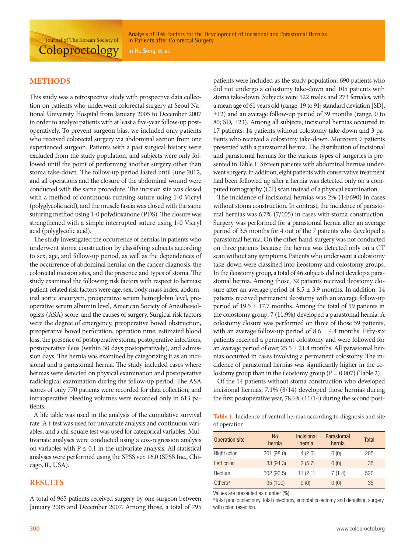Analysis of Risk Factors for the Development of Incisional and Parastomal Hernias in Patients after Colorectal Surgery

**Coloproctology** 

Journal of The Korean Society of

#### **METHODS**

This study was a retrospective study with prospective data collection on patients who underwent colorectal surgery at Seoul National University Hospital from January 2005 to December 2007 in order to analyze patients with at least a five-year follow-up postoperatively. To prevent surgeon bias, we included only patients who received colorectal surgery via abdominal section from one experienced surgeon. Patients with a past surgical history were excluded from the study population, and subjects were only followed until the point of performing another surgery other than stoma take-down. The follow-up period lasted until June 2012, and all operations and the closure of the abdominal wound were conducted with the same procedure. The incision site was closed with a method of continuous running suture using 1-0 Vicryl (polyglycolic acid), and the muscle fascia was closed with the same suturing method using 1-0 polydioxanone (PDS). The closure was strengthened with a simple interrupted suture using 1-0 Vicryl acid (polyglycolic acid).

The study investigated the occurrence of hernias in patients who underwent stoma construction by classifying subjects according to sex, age, and follow-up period, as well as the dependences of the occurrence of abdominal hernias on the cancer diagnosis, the colorectal incision sites, and the presence and types of stoma. The study examined the following risk factors with respect to hernias: patient-related risk factors were age, sex, body mass index, abdominal aortic aneurysm, preoperative serum hemoglobin level, preoperative serum albumin level, American Society of Anesthesiologists (ASA) score, and the causes of surgery. Surgical risk factors were the degree of emergency, preoperative bowel obstruction, preoperative bowel perforation, operation time, estimated blood loss, the presence of postoperative stoma, postoperative infections, postoperative ileus (within 30 days postoperatively), and admission days. The hernia was examined by categorizing it as an incisional and a parastomal hernia. The study included cases where hernias were detected on physical examination and postoperative radiological examination during the follow-up period. The ASA scores of only 770 patients were recorded for data collection, and intraoperative bleeding volumes were recorded only in 613 patients.

A life table was used in the analysis of the cumulative survival rate. A t-test was used for univariate analysis and continuous variables, and a chi-square test was used for categorical variables. Multivariate analyses were conducted using a cox-regression analysis on variables with  $P \le 0.1$  in the univariate analysis. All statistical analyses were performed using the SPSS ver. 16.0 (SPSS Inc., Chicago, IL, USA).

#### **RESULTS**

A total of 965 patients received surgery by one surgeon between January 2005 and December 2007. Among those, a total of 795

patients were included as the study population: 690 patients who did not undergo a colostomy take-down and 105 patients with stoma take-down. Subjects were 522 males and 273 females, with a mean age of 61 years old (range, 19 to 91; standard deviation [SD], ±12) and an average follow-up period of 39 months (range, 0 to 80; SD, ±23). Among all subjects, incisional hernias occurred in 17 patients: 14 patients without colostomy take-down and 3 patients who received a colostomy take-down. Moreover, 7 patients presented with a parastomal hernia. The distribution of incisional and parastomal hernias for the various types of surgeries is presented in Table 1. Sixteen patients with abdominal hernias underwent surgery. In addition, eight patients with conservative treatment had been followed up after a hernia was detected only on a computed tomography (CT) scan instead of a physical examination.

The incidence of incisional hernias was 2% (14/690) in cases without stoma construction. In contrast, the incidence of parastomal hernias was 6.7% (7/105) in cases with stoma construction. Surgery was performed for a parastomal hernia after an average period of 3.5 months for 4 out of the 7 patients who developed a parastomal hernia. On the other hand, surgery was not conducted on three patients because the hernia was detected only on a CT scan without any symptoms. Patients who underwent a colostomy take-down were classified into ileostomy and colostomy groups. In the ileostomy group, a total of 46 subjects did not develop a parastomal hernia. Among those, 32 patients received ileostomy closure after an average period of  $8.5 \pm 3.9$  months. In addition, 14 patients received permanent ileostomy with an average follow-up period of 19.5 ± 17.7 months. Among the total of 59 patients in the colostomy group, 7 (11.9%) developed a parastomal hernia. A colostomy closure was performed on three of those 59 patients, with an average follow-up period of  $8.6 \pm 4.4$  months. Fifty-six patients received a permanent colostomy and were followed for an average period of over  $25.5 \pm 21.4$  months. All parastomal hernias occurred in cases involving a permanent colostomy. The incidence of parastomal hernias was significantly higher in the colostomy group than in the ileostomy group ( $P = 0.007$ ) (Table 2).

Of the 14 patients without stoma construction who developed incisional hernias, 7.1% (8/14) developed those hernias during the first postoperative year, 78.6% (11/14) during the second post-

**Table 1.** Incidence of ventral hernias according to diagnosis and site of operation

| Operation site      | <b>No</b><br>hernia | <b>Incisional</b><br>hernia | Parastomal<br>hernia | <b>Total</b> |
|---------------------|---------------------|-----------------------------|----------------------|--------------|
| Right colon         | 201 (98.0)          | 4(2.0)                      | 0(0)                 | 205          |
| Left colon          | 33 (94.3)           | 2(5.7)                      | 0(0)                 | 35           |
| Rectum              | 502 (96.5)          | 11(2.1)                     | 7(1.4)               | 520          |
| Others <sup>a</sup> | 35 (100)            | 0(0)                        | 0(0)                 | 35           |

Values are presented as number (%).

<sup>a</sup>Total proctocolectomy, total colectomy, subtotal colectomy and debulking surgery with colon resection.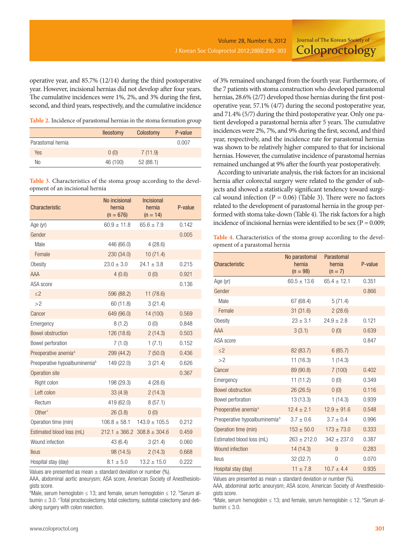Journal of The Korean Society of **Coloproctology** 

operative year, and 85.7% (12/14) during the third postoperative year. However, incisional hernias did not develop after four years. The cumulative incidences were 1%, 2%, and 3% during the first, second, and third years, respectively, and the cumulative incidence

**Table 2.** Incidence of parastomal hernias in the stoma formation group

|                   | <b>Ileostomy</b> | Colostomy | P-value |
|-------------------|------------------|-----------|---------|
| Parastomal hernia |                  |           | 0.007   |
| Yes               | 0(0)             | 7(11.9)   |         |
| No                | 46 (100)         | 52(88.1)  |         |

**Table 3.** Characteristics of the stoma group according to the development of an incisional hernia

| Characteristic                            | No incisional<br>hernia<br>$(n = 676)$ | <b>Incisional</b><br>hernia<br>$(n = 14)$ | P-value |
|-------------------------------------------|----------------------------------------|-------------------------------------------|---------|
| Age (yr)                                  | $60.9 \pm 11.8$                        | $65.6 \pm 7.9$                            | 0.142   |
| Gender                                    |                                        |                                           | 0.005   |
| Male                                      | 446 (66.0)                             | 4(28.6)                                   |         |
| Female                                    | 230(34.0)                              | 10(71.4)                                  |         |
| Obesity                                   | $23.0 \pm 3.0$                         | $24.1 \pm 3.8$                            | 0.215   |
| AAA                                       | 4(0.6)                                 | 0(0)                                      | 0.921   |
| ASA score                                 |                                        |                                           | 0.136   |
| $\leq$ 2                                  | 596 (88.2)                             | 11(78.6)                                  |         |
| >2                                        | 60 (11.8)                              | 3(21.4)                                   |         |
| Cancer                                    | 649 (96.0)                             | 14 (100)                                  | 0.569   |
| Emergency                                 | 8(1.2)                                 | 0(0)                                      | 0.848   |
| <b>Bowel obstruction</b>                  | 126 (18.6)                             | 2(14.3)                                   | 0.503   |
| Bowel perforation                         | 7(1.0)                                 | 1(7.1)                                    | 0.152   |
| Preoperative anemia <sup>a</sup>          | 299 (44.2)                             | 7(50.0)                                   | 0.436   |
| Preoperative hypoalbuminemia <sup>b</sup> | 149 (22.0)                             | 3(21.4)                                   | 0.626   |
| Operation site                            |                                        |                                           | 0.367   |
| Right colon                               | 198 (29.3)                             | 4(28.6)                                   |         |
| Left colon                                | 33(4.9)                                | 2(14.3)                                   |         |
| Rectum                                    | 419 (62.0)                             | 8(57.1)                                   |         |
| Other <sup>c</sup>                        | 26(3.8)                                | 0(0)                                      |         |
| Operation time (min)                      | $106.8 \pm 58.1$                       | $143.9 \pm 105.5$                         | 0.212   |
| Estimated blood loss (mL)                 |                                        | $212.1 \pm 366.2$ 308.8 $\pm$ 304.6       | 0.459   |
| Wound infection                           | 43 (6.4)                               | 3(21.4)                                   | 0.060   |
| lleus                                     | 98 (14.5)                              | 2(14.3)                                   | 0.668   |
| Hospital stay (day)                       | $8.1 + 5.0$                            | $13.2 \pm 15.0$                           | 0.222   |

Values are presented as mean  $\pm$  standard deviation or number (%).

AAA, abdominal aortic aneurysm; ASA score, American Society of Anesthesiologists score.

aMale, serum hemoglobin  $\leq 13$ ; and female, serum hemoglobin  $\leq 12$ . bSerum albumin ≤ 3.0. <sup>c</sup>Total proctocolectomy, total colectomy, subtotal colectomy and debulking surgery with colon resection.

of 3% remained unchanged from the fourth year. Furthermore, of the 7 patients with stoma construction who developed parastomal hernias, 28.6% (2/7) developed those hernias during the first postoperative year, 57.1% (4/7) during the second postoperative year, and 71.4% (5/7) during the third postoperative year. Only one patient developed a parastomal hernia after 5 years. The cumulative incidences were 2%, 7%, and 9% during the first, second, and third year, respectively, and the incidence rate for parastomal hernias was shown to be relatively higher compared to that for incisional hernias. However, the cumulative incidence of parastomal hernias remained unchanged at 9% after the fourth year postoperatively.

According to univariate analysis, the risk factors for an incisional hernia after colorectal surgery were related to the gender of subjects and showed a statistically significant tendency toward surgical wound infection ( $P = 0.06$ ) (Table 3). There were no factors related to the development of parastomal hernia in the group performed with stoma take-down (Table 4). The risk factors for a high incidence of incisional hernias were identified to be sex ( $P = 0.009$ ;

**Table 4.** Characteristics of the stoma group according to the development of a parastomal hernia

| Characteristic                            | No parastomal<br>hernia<br>$(n = 98)$ | Parastomal<br>hernia<br>$(n = 7)$ | P-value |
|-------------------------------------------|---------------------------------------|-----------------------------------|---------|
| Age (yr)                                  | $60.5 \pm 13.6$                       | $65.4 \pm 12.1$                   | 0.351   |
| Gender                                    |                                       |                                   | 0.866   |
| Male                                      | 67 (68.4)                             | 5(71.4)                           |         |
| Female                                    | 31(31.6)                              | 2(28.6)                           |         |
| Obesity                                   | $23 \pm 3.1$                          | $24.9 \pm 2.8$                    | 0.121   |
| <b>AAA</b>                                | 3(3.1)                                | 0(0)                              | 0.639   |
| ASA score                                 |                                       |                                   | 0.847   |
| $\leq$ 2                                  | 82 (83.7)                             | 6(85.7)                           |         |
| >2                                        | 11(16.3)                              | 1(14.3)                           |         |
| Cancer                                    | 89 (90.8)                             | 7(100)                            | 0.402   |
| Emergency                                 | 11(11.2)                              | 0(0)                              | 0.349   |
| <b>Bowel obstruction</b>                  | 26 (26.5)                             | 0(0)                              | 0.116   |
| Bowel perforation                         | 13(13.3)                              | 1(14.3)                           | 0.939   |
| Preoperative anemia <sup>a</sup>          | $12.4 \pm 2.1$                        | $12.9 \pm 91.6$                   | 0.548   |
| Preoperative hypoalbuminemia <sup>b</sup> | $3.7 \pm 0.6$                         | $3.7 \pm 0.4$                     | 0.996   |
| Operation time (min)                      | $153 \pm 50.0$                        | $173 + 73.0$                      | 0.333   |
| Estimated blood loss (mL)                 | $263 + 212.0$                         | $342 \pm 237.0$                   | 0.387   |
| Wound infection                           | 14(14.3)                              | 9                                 | 0.283   |
| lleus                                     | 32 (32.7)                             | 0                                 | 0.070   |
| Hospital stay (day)                       | $11 \pm 7.8$                          | $10.7 \pm 4.4$                    | 0.935   |

Values are presented as mean  $\pm$  standard deviation or number (%).

AAA, abdominal aortic aneurysm; ASA score, American Society of Anesthesiologists score.

aMale, serum hemoglobin  $\leq 13$ ; and female, serum hemoglobin  $\leq 12$ . **Serum al**bumin  $\leq 3.0$ .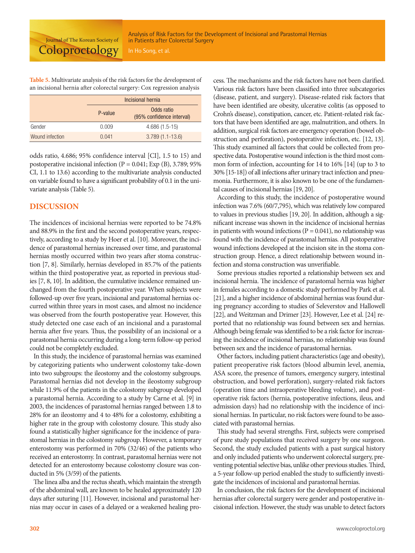**Table 5.** Multivariate analysis of the risk factors for the development of an incisional hernia after colorectal surgery: Cox regression analysis

|                 | Incisional hernia |                                         |
|-----------------|-------------------|-----------------------------------------|
|                 | P-value           | Odds ratio<br>(95% confidence interval) |
| Gender          | 0.009             | $4.686(1.5-15)$                         |
| Wound infection | 0.041             | $3.789(1.1-13.6)$                       |

odds ratio, 4.686; 95% confidence interval [CI], 1.5 to 15) and postoperative incisional infection (P = 0.041; Exp (B), 3.789; 95% CI, 1.1 to 13.6) according to the multivariate analysis conducted on variable found to have a significant probability of 0.1 in the univariate analysis (Table 5).

#### **DISCUSSION**

The incidences of incisional hernias were reported to be 74.8% and 88.9% in the first and the second postoperative years, respectively, according to a study by Hoer et al. [10]. Moreover, the incidence of parastomal hernias increased over time, and parastomal hernias mostly occurred within two years after stoma construction [7, 8]. Similarly, hernias developed in 85.7% of the patients within the third postoperative year, as reported in previous studies [7, 8, 10]. In addition, the cumulative incidence remained unchanged from the fourth postoperative year. When subjects were followed-up over five years, incisional and parastomal hernias occurred within three years in most cases, and almost no incidence was observed from the fourth postoperative year. However, this study detected one case each of an incisional and a parastomal hernia after five years. Thus, the possibility of an incisional or a parastomal hernia occurring during a long-term follow-up period could not be completely excluded.

In this study, the incidence of parastomal hernias was examined by categorizing patients who underwent colostomy take-down into two subgroups: the ileostomy and the colostomy subgroups. Parastomal hernias did not develop in the ileostomy subgroup while 11.9% of the patients in the colostomy subgroup developed a parastomal hernia. According to a study by Carne et al. [9] in 2003, the incidences of parastomal hernias ranged between 1.8 to 28% for an ileostomy and 4 to 48% for a colostomy, exhibiting a higher rate in the group with colostomy closure. This study also found a statistically higher significance for the incidence of parastomal hernias in the colostomy subgroup. However, a temporary enterostomy was performed in 70% (32/46) of the patients who received an enterostomy. In contrast, parastomal hernias were not detected for an enterostomy because colostomy closure was conducted in 5% (3/59) of the patients.

The linea alba and the rectus sheath, which maintain the strength of the abdominal wall, are known to be healed approximately 120 days after suturing [11]. However, incisional and parastomal hernias may occur in cases of a delayed or a weakened healing process. The mechanisms and the risk factors have not been clarified. Various risk factors have been classified into three subcategories (disease, patient, and surgery). Disease-related risk factors that have been identified are obesity, ulcerative colitis (as opposed to Crohn's disease), constipation, cancer, etc. Patient-related risk factors that have been identified are age, malnutrition, and others. In addition, surgical risk factors are emergency operation (bowel obstruction and perforation), postoperative infection, etc. [12, 13]. This study examined all factors that could be collected from prospective data. Postoperative wound infection is the third most common form of infection, accounting for 14 to 16% [14] (up to 3 to 30% [15-18]) of all infections after urinary tract infection and pneumonia. Furthermore, it is also known to be one of the fundamental causes of incisional hernias [19, 20].

According to this study, the incidence of postoperative wound infection was 7.6% (60/7,795), which was relatively low compared to values in previous studies [19, 20]. In addition, although a significant increase was shown in the incidence of incisional hernias in patients with wound infections ( $P = 0.041$ ), no relationship was found with the incidence of parastomal hernias. All postoperative wound infections developed at the incision site in the stoma construction group. Hence, a direct relationship between wound infection and stoma construction was unverifiable.

Some previous studies reported a relationship between sex and incisional hernia. The incidence of parastomal hernia was higher in females according to a domestic study performed by Park et al. [21], and a higher incidence of abdominal hernias was found during pregnancy according to studies of Seleverstov and Hallowell [22], and Weitzman and Drimer [23]. However, Lee et al. [24] reported that no relationship was found between sex and hernias. Although being female was identified to be a risk factor for increasing the incidence of incisional hernias, no relationship was found between sex and the incidence of parastomal hernias.

Other factors, including patient characteristics (age and obesity), patient preoperative risk factors (blood albumin level, anemia, ASA score, the presence of tumors, emergency surgery, intestinal obstruction, and bowel perforation), surgery-related risk factors (operation time and intraoperative bleeding volume), and postoperative risk factors (hernia, postoperative infections, ileus, and admission days) had no relationship with the incidence of incisional hernias. In particular, no risk factors were found to be associated with parastomal hernias.

This study had several strengths. First, subjects were comprised of pure study populations that received surgery by one surgeon. Second, the study excluded patients with a past surgical history and only included patients who underwent colorectal surgery, preventing potential selective bias, unlike other previous studies. Third, a 5-year follow-up period enabled the study to sufficiently investigate the incidences of incisional and parastomal hernias.

In conclusion, the risk factors for the development of incisional hernias after colorectal surgery were gender and postoperative incisional infection. However, the study was unable to detect factors